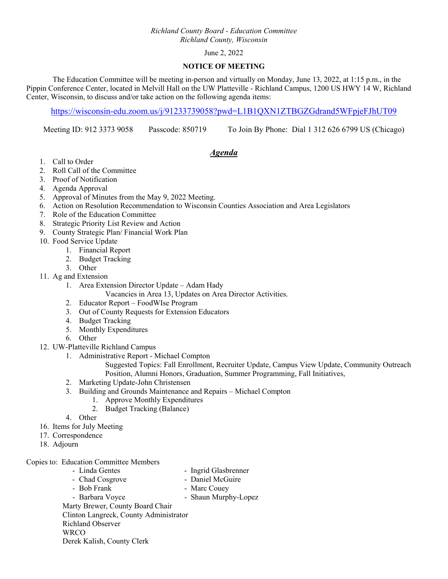### *Richland County Board - Education Committee Richland County, Wisconsin*

## June 2, 2022

#### **NOTICE OF MEETING**

 The Education Committee will be meeting in-person and virtually on Monday, June 13, 2022, at 1:15 p.m., in the Pippin Conference Center, located in Melvill Hall on the UW Platteville - Richland Campus, 1200 US HWY 14 W, Richland Center, Wisconsin, to discuss and/or take action on the following agenda items:

https://wisconsin-edu.zoom.us/j/91233739058?pwd=L1B1QXN1ZTBGZGdrand5WFpjeFJhUT09

Meeting ID: 912 3373 9058 Passcode: 850719 To Join By Phone: Dial 1 312 626 6799 US (Chicago)

# *Agenda*

- 1. Call to Order
- 2. Roll Call of the Committee
- 3. Proof of Notification
- 4. Agenda Approval
- 5. Approval of Minutes from the May 9, 2022 Meeting.
- 6. Action on Resolution Recommendation to Wisconsin Counties Association and Area Legislators
- 7. Role of the Education Committee
- 8. Strategic Priority List Review and Action
- 9. County Strategic Plan/ Financial Work Plan
- 10. Food Service Update
	- 1. Financial Report
	- 2. Budget Tracking
	- 3. Other
- 11. Ag and Extension
	- 1. Area Extension Director Update Adam Hady
		- Vacancies in Area 13, Updates on Area Director Activities.
	- 2. Educator Report FoodWIse Program
	- 3. Out of County Requests for Extension Educators
	- 4. Budget Tracking
	- 5. Monthly Expenditures
	- 6. Other
- 12. UW-Platteville Richland Campus
	- 1. Administrative Report Michael Compton

Suggested Topics: Fall Enrollment, Recruiter Update, Campus View Update, Community Outreach Position, Alumni Honors, Graduation, Summer Programming, Fall Initiatives,

- 2. Marketing Update-John Christensen
- 3. Building and Grounds Maintenance and Repairs Michael Compton
	- 1. Approve Monthly Expenditures
	- 2. Budget Tracking (Balance)
- 4. Other
- 16. Items for July Meeting
- 17. Correspondence
- 18. Adjourn

Copies to: Education Committee Members

- Linda Gentes Ingrid Glasbrenner
	-
- Chad Cosgrove Daniel McGuire
- Bob Frank Marc Couev
- Barbara Voyce Shaun Murphy-Lopez

Marty Brewer, County Board Chair

Clinton Langreck, County Administrator Richland Observer

**WRCO** 

Derek Kalish, County Clerk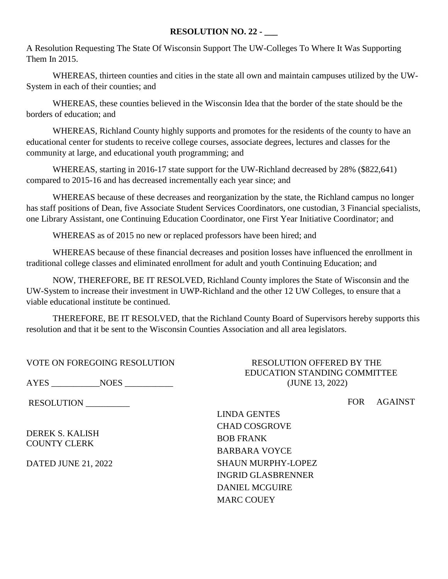# **RESOLUTION NO. 22 - \_\_\_**

A Resolution Requesting The State Of Wisconsin Support The UW-Colleges To Where It Was Supporting Them In 2015.

WHEREAS, thirteen counties and cities in the state all own and maintain campuses utilized by the UW-System in each of their counties; and

WHEREAS, these counties believed in the Wisconsin Idea that the border of the state should be the borders of education; and

WHEREAS, Richland County highly supports and promotes for the residents of the county to have an educational center for students to receive college courses, associate degrees, lectures and classes for the community at large, and educational youth programming; and

WHEREAS, starting in 2016-17 state support for the UW-Richland decreased by 28% (\$822,641) compared to 2015-16 and has decreased incrementally each year since; and

WHEREAS because of these decreases and reorganization by the state, the Richland campus no longer has staff positions of Dean, five Associate Student Services Coordinators, one custodian, 3 Financial specialists, one Library Assistant, one Continuing Education Coordinator, one First Year Initiative Coordinator; and

WHEREAS as of 2015 no new or replaced professors have been hired; and

WHEREAS because of these financial decreases and position losses have influenced the enrollment in traditional college classes and eliminated enrollment for adult and youth Continuing Education; and

NOW, THEREFORE, BE IT RESOLVED, Richland County implores the State of Wisconsin and the UW-System to increase their investment in UWP-Richland and the other 12 UW Colleges, to ensure that a viable educational institute be continued.

THEREFORE, BE IT RESOLVED, that the Richland County Board of Supervisors hereby supports this resolution and that it be sent to the Wisconsin Counties Association and all area legislators.

| VOTE ON FOREGOING RESOLUTION |
|------------------------------|
|------------------------------|

AYES \_\_\_\_\_\_\_\_\_\_\_NOES \_\_\_\_\_\_\_\_\_\_\_ (JUNE 13, 2022)

RESOLUTION \_\_\_\_\_\_\_\_\_\_\_

DEREK S. KALISH COUNTY CLERK

DATED JUNE 21, 2022

RESOLUTION OFFERED BY THE EDUCATION STANDING COMMITTEE

FOR AGAINST

LINDA GENTES CHAD COSGROVE BOB FRANK BARBARA VOYCE SHAUN MURPHY-LOPEZ INGRID GLASBRENNER DANIEL MCGUIRE MARC COUEY